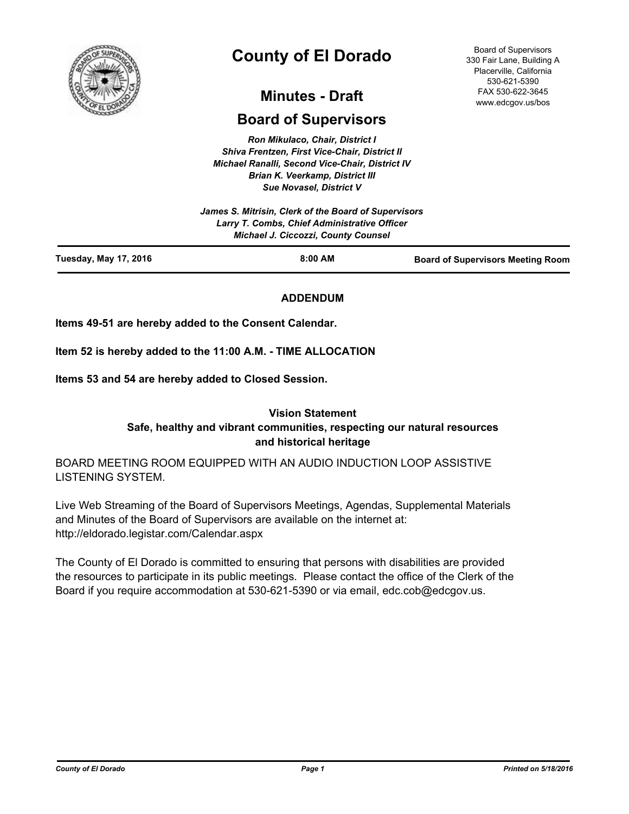

# **County of El Dorado**

## **Minutes - Draft**

## **Board of Supervisors**

*Ron Mikulaco, Chair, District I Shiva Frentzen, First Vice-Chair, District II Michael Ranalli, Second Vice-Chair, District IV Brian K. Veerkamp, District III Sue Novasel, District V* 

|                              | James S. Mitrisin, Clerk of the Board of Supervisors<br>Larry T. Combs, Chief Administrative Officer<br><b>Michael J. Ciccozzi, County Counsel</b> |                                          |
|------------------------------|----------------------------------------------------------------------------------------------------------------------------------------------------|------------------------------------------|
| <b>Tuesday, May 17, 2016</b> | $8:00$ AM                                                                                                                                          | <b>Board of Supervisors Meeting Room</b> |

## **ADDENDUM**

**Items 49-51 are hereby added to the Consent Calendar.**

**Item 52 is hereby added to the 11:00 A.M. - TIME ALLOCATION**

**Items 53 and 54 are hereby added to Closed Session.**

## **Vision Statement Safe, healthy and vibrant communities, respecting our natural resources and historical heritage**

BOARD MEETING ROOM EQUIPPED WITH AN AUDIO INDUCTION LOOP ASSISTIVE LISTENING SYSTEM.

Live Web Streaming of the Board of Supervisors Meetings, Agendas, Supplemental Materials and Minutes of the Board of Supervisors are available on the internet at: http://eldorado.legistar.com/Calendar.aspx

The County of El Dorado is committed to ensuring that persons with disabilities are provided the resources to participate in its public meetings. Please contact the office of the Clerk of the Board if you require accommodation at 530-621-5390 or via email, edc.cob@edcgov.us.

Board of Supervisors 330 Fair Lane, Building A Placerville, California 530-621-5390 FAX 530-622-3645 www.edcgov.us/bos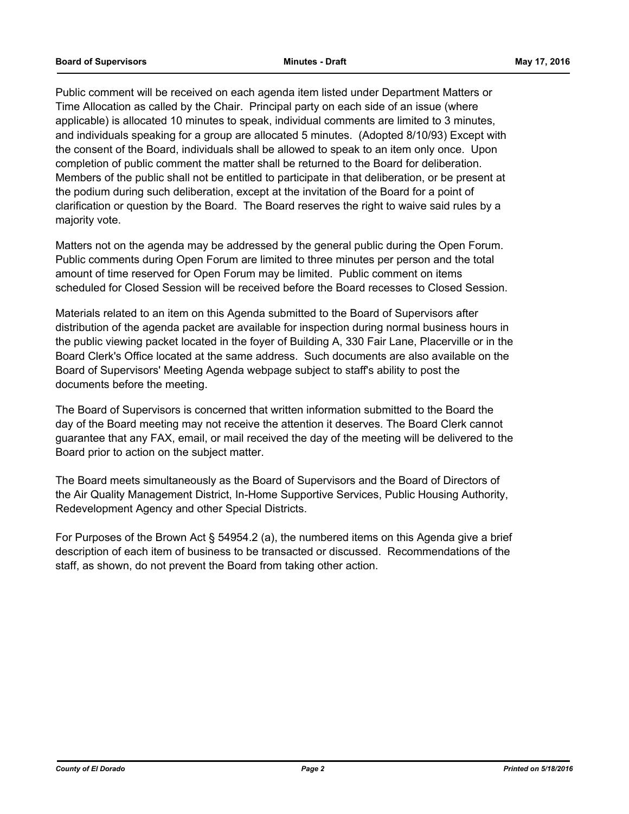Public comment will be received on each agenda item listed under Department Matters or Time Allocation as called by the Chair. Principal party on each side of an issue (where applicable) is allocated 10 minutes to speak, individual comments are limited to 3 minutes, and individuals speaking for a group are allocated 5 minutes. (Adopted 8/10/93) Except with the consent of the Board, individuals shall be allowed to speak to an item only once. Upon completion of public comment the matter shall be returned to the Board for deliberation. Members of the public shall not be entitled to participate in that deliberation, or be present at the podium during such deliberation, except at the invitation of the Board for a point of clarification or question by the Board. The Board reserves the right to waive said rules by a majority vote.

Matters not on the agenda may be addressed by the general public during the Open Forum. Public comments during Open Forum are limited to three minutes per person and the total amount of time reserved for Open Forum may be limited. Public comment on items scheduled for Closed Session will be received before the Board recesses to Closed Session.

Materials related to an item on this Agenda submitted to the Board of Supervisors after distribution of the agenda packet are available for inspection during normal business hours in the public viewing packet located in the foyer of Building A, 330 Fair Lane, Placerville or in the Board Clerk's Office located at the same address. Such documents are also available on the Board of Supervisors' Meeting Agenda webpage subject to staff's ability to post the documents before the meeting.

The Board of Supervisors is concerned that written information submitted to the Board the day of the Board meeting may not receive the attention it deserves. The Board Clerk cannot guarantee that any FAX, email, or mail received the day of the meeting will be delivered to the Board prior to action on the subject matter.

The Board meets simultaneously as the Board of Supervisors and the Board of Directors of the Air Quality Management District, In-Home Supportive Services, Public Housing Authority, Redevelopment Agency and other Special Districts.

For Purposes of the Brown Act § 54954.2 (a), the numbered items on this Agenda give a brief description of each item of business to be transacted or discussed. Recommendations of the staff, as shown, do not prevent the Board from taking other action.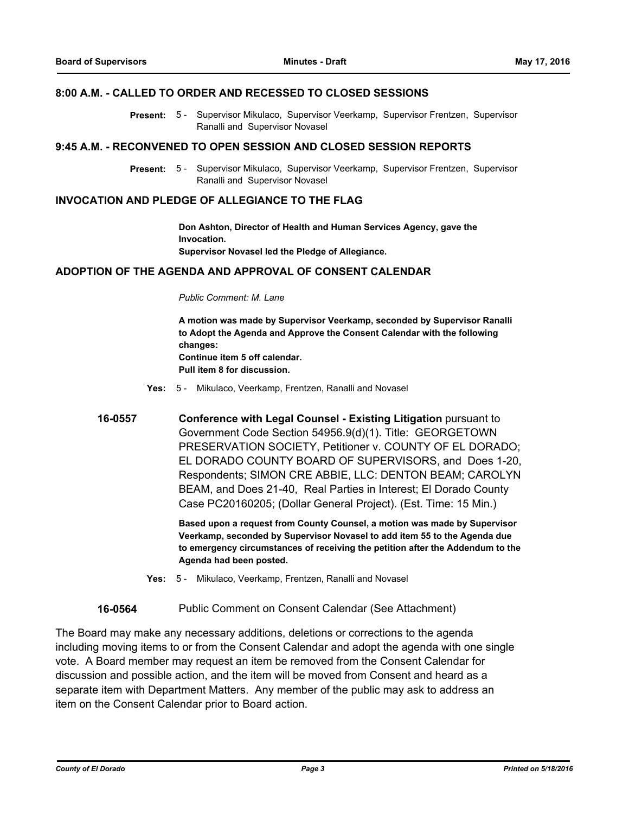#### **8:00 A.M. - CALLED TO ORDER AND RECESSED TO CLOSED SESSIONS**

Present: 5 - Supervisor Mikulaco, Supervisor Veerkamp, Supervisor Frentzen, Supervisor Ranalli and Supervisor Novasel

#### **9:45 A.M. - RECONVENED TO OPEN SESSION AND CLOSED SESSION REPORTS**

Present: 5 - Supervisor Mikulaco, Supervisor Veerkamp, Supervisor Frentzen, Supervisor Ranalli and Supervisor Novasel

#### **INVOCATION AND PLEDGE OF ALLEGIANCE TO THE FLAG**

**Don Ashton, Director of Health and Human Services Agency, gave the Invocation. Supervisor Novasel led the Pledge of Allegiance.**

#### **ADOPTION OF THE AGENDA AND APPROVAL OF CONSENT CALENDAR**

#### *Public Comment: M. Lane*

**A motion was made by Supervisor Veerkamp, seconded by Supervisor Ranalli to Adopt the Agenda and Approve the Consent Calendar with the following changes: Continue item 5 off calendar. Pull item 8 for discussion.**

- **Yes:** 5 Mikulaco, Veerkamp, Frentzen, Ranalli and Novasel
- **16-0557 Conference with Legal Counsel - Existing Litigation** pursuant to Government Code Section 54956.9(d)(1). Title: GEORGETOWN PRESERVATION SOCIETY, Petitioner v. COUNTY OF EL DORADO; EL DORADO COUNTY BOARD OF SUPERVISORS, and Does 1-20, Respondents; SIMON CRE ABBIE, LLC: DENTON BEAM; CAROLYN BEAM, and Does 21-40, Real Parties in Interest; El Dorado County Case PC20160205; (Dollar General Project). (Est. Time: 15 Min.)

**Based upon a request from County Counsel, a motion was made by Supervisor Veerkamp, seconded by Supervisor Novasel to add item 55 to the Agenda due to emergency circumstances of receiving the petition after the Addendum to the Agenda had been posted.**

**Yes:** 5 - Mikulaco, Veerkamp, Frentzen, Ranalli and Novasel

**16-0564** Public Comment on Consent Calendar (See Attachment)

The Board may make any necessary additions, deletions or corrections to the agenda including moving items to or from the Consent Calendar and adopt the agenda with one single vote. A Board member may request an item be removed from the Consent Calendar for discussion and possible action, and the item will be moved from Consent and heard as a separate item with Department Matters. Any member of the public may ask to address an item on the Consent Calendar prior to Board action.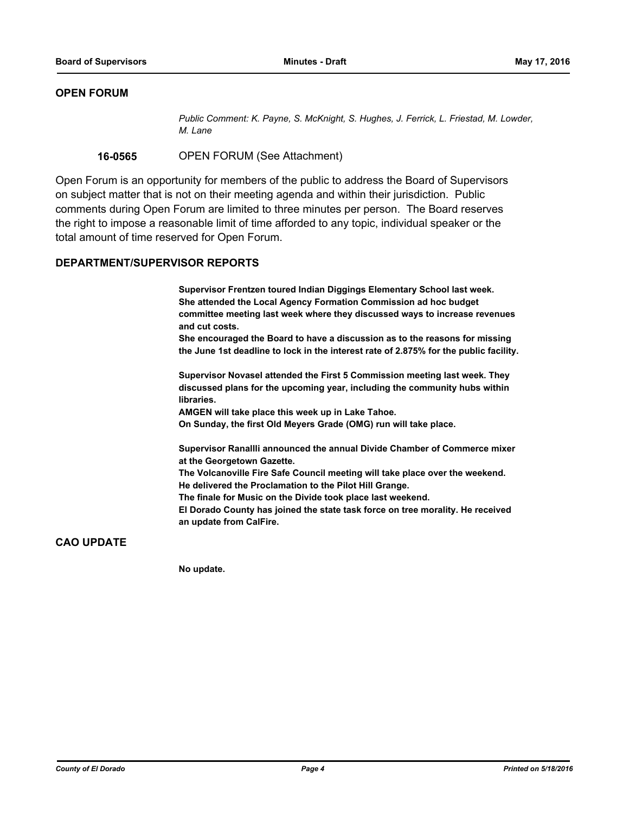## **OPEN FORUM**

*Public Comment: K. Payne, S. McKnight, S. Hughes, J. Ferrick, L. Friestad, M. Lowder, M. Lane*

**16-0565** OPEN FORUM (See Attachment)

Open Forum is an opportunity for members of the public to address the Board of Supervisors on subject matter that is not on their meeting agenda and within their jurisdiction. Public comments during Open Forum are limited to three minutes per person. The Board reserves the right to impose a reasonable limit of time afforded to any topic, individual speaker or the total amount of time reserved for Open Forum.

#### **DEPARTMENT/SUPERVISOR REPORTS**

**Supervisor Frentzen toured Indian Diggings Elementary School last week. She attended the Local Agency Formation Commission ad hoc budget committee meeting last week where they discussed ways to increase revenues and cut costs.**

**She encouraged the Board to have a discussion as to the reasons for missing the June 1st deadline to lock in the interest rate of 2.875% for the public facility.**

**Supervisor Novasel attended the First 5 Commission meeting last week. They discussed plans for the upcoming year, including the community hubs within libraries.**

**AMGEN will take place this week up in Lake Tahoe.**

**On Sunday, the first Old Meyers Grade (OMG) run will take place.**

**Supervisor Ranallli announced the annual Divide Chamber of Commerce mixer at the Georgetown Gazette.**

**The Volcanoville Fire Safe Council meeting will take place over the weekend. He delivered the Proclamation to the Pilot Hill Grange.**

**The finale for Music on the Divide took place last weekend.**

**El Dorado County has joined the state task force on tree morality. He received an update from CalFire.**

## **CAO UPDATE**

**No update.**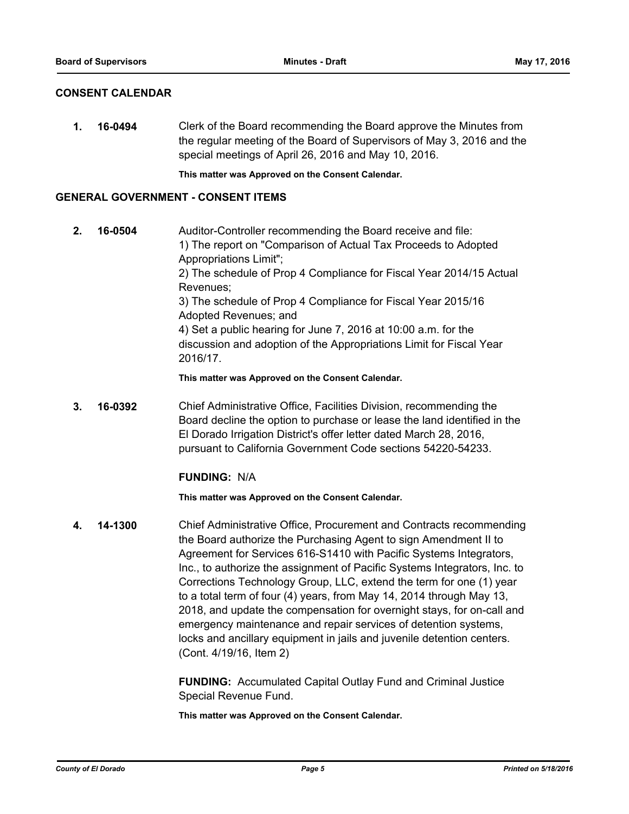### **CONSENT CALENDAR**

**1. 16-0494** Clerk of the Board recommending the Board approve the Minutes from the regular meeting of the Board of Supervisors of May 3, 2016 and the special meetings of April 26, 2016 and May 10, 2016.

**This matter was Approved on the Consent Calendar.**

#### **GENERAL GOVERNMENT - CONSENT ITEMS**

**2. 16-0504** Auditor-Controller recommending the Board receive and file: 1) The report on "Comparison of Actual Tax Proceeds to Adopted Appropriations Limit"; 2) The schedule of Prop 4 Compliance for Fiscal Year 2014/15 Actual Revenues; 3) The schedule of Prop 4 Compliance for Fiscal Year 2015/16 Adopted Revenues; and 4) Set a public hearing for June 7, 2016 at 10:00 a.m. for the discussion and adoption of the Appropriations Limit for Fiscal Year 2016/17.

**This matter was Approved on the Consent Calendar.**

**3. 16-0392** Chief Administrative Office, Facilities Division, recommending the Board decline the option to purchase or lease the land identified in the El Dorado Irrigation District's offer letter dated March 28, 2016, pursuant to California Government Code sections 54220-54233.

## **FUNDING:** N/A

**This matter was Approved on the Consent Calendar.**

**4. 14-1300** Chief Administrative Office, Procurement and Contracts recommending the Board authorize the Purchasing Agent to sign Amendment II to Agreement for Services 616-S1410 with Pacific Systems Integrators, Inc., to authorize the assignment of Pacific Systems Integrators, Inc. to Corrections Technology Group, LLC, extend the term for one (1) year to a total term of four (4) years, from May 14, 2014 through May 13, 2018, and update the compensation for overnight stays, for on-call and emergency maintenance and repair services of detention systems, locks and ancillary equipment in jails and juvenile detention centers. (Cont. 4/19/16, Item 2)

> **FUNDING:** Accumulated Capital Outlay Fund and Criminal Justice Special Revenue Fund.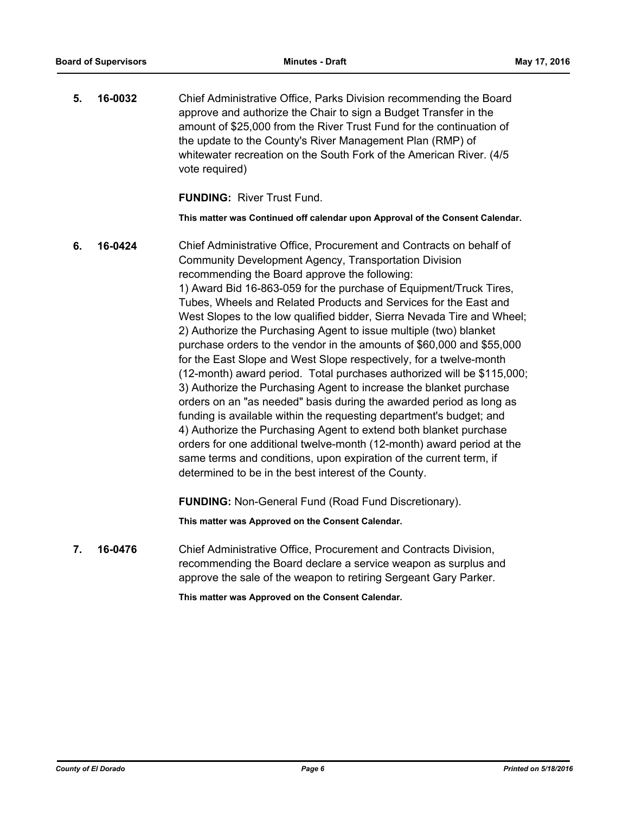**5. 16-0032** Chief Administrative Office, Parks Division recommending the Board approve and authorize the Chair to sign a Budget Transfer in the amount of \$25,000 from the River Trust Fund for the continuation of the update to the County's River Management Plan (RMP) of whitewater recreation on the South Fork of the American River. (4/5 vote required)

**FUNDING:** River Trust Fund.

**This matter was Continued off calendar upon Approval of the Consent Calendar.**

**6. 16-0424** Chief Administrative Office, Procurement and Contracts on behalf of Community Development Agency, Transportation Division recommending the Board approve the following: 1) Award Bid 16-863-059 for the purchase of Equipment/Truck Tires, Tubes, Wheels and Related Products and Services for the East and West Slopes to the low qualified bidder, Sierra Nevada Tire and Wheel; 2) Authorize the Purchasing Agent to issue multiple (two) blanket purchase orders to the vendor in the amounts of \$60,000 and \$55,000 for the East Slope and West Slope respectively, for a twelve-month (12-month) award period. Total purchases authorized will be \$115,000; 3) Authorize the Purchasing Agent to increase the blanket purchase orders on an "as needed" basis during the awarded period as long as funding is available within the requesting department's budget; and 4) Authorize the Purchasing Agent to extend both blanket purchase orders for one additional twelve-month (12-month) award period at the same terms and conditions, upon expiration of the current term, if determined to be in the best interest of the County. **FUNDING:** Non-General Fund (Road Fund Discretionary).

**This matter was Approved on the Consent Calendar.**

**7. 16-0476** Chief Administrative Office, Procurement and Contracts Division, recommending the Board declare a service weapon as surplus and approve the sale of the weapon to retiring Sergeant Gary Parker.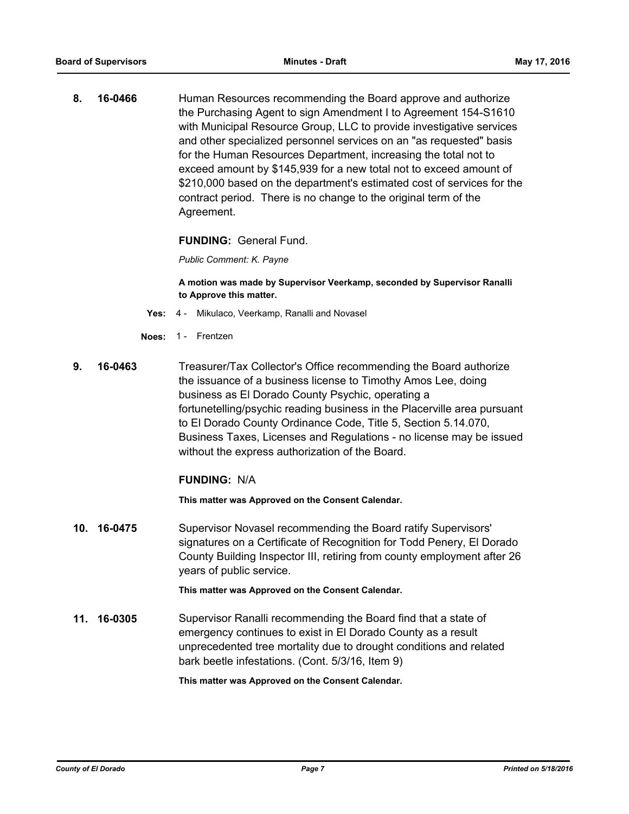**8. 16-0466** Human Resources recommending the Board approve and authorize the Purchasing Agent to sign Amendment I to Agreement 154-S1610 with Municipal Resource Group, LLC to provide investigative services and other specialized personnel services on an "as requested" basis for the Human Resources Department, increasing the total not to exceed amount by \$145,939 for a new total not to exceed amount of \$210,000 based on the department's estimated cost of services for the contract period. There is no change to the original term of the Agreement.

**FUNDING:** General Fund.

*Public Comment: K. Payne*

**A motion was made by Supervisor Veerkamp, seconded by Supervisor Ranalli to Approve this matter.**

- **Yes:** 4 Mikulaco, Veerkamp, Ranalli and Novasel
- **Noes:** 1 Frentzen
- **9. 16-0463** Treasurer/Tax Collector's Office recommending the Board authorize the issuance of a business license to Timothy Amos Lee, doing business as El Dorado County Psychic, operating a fortunetelling/psychic reading business in the Placerville area pursuant to El Dorado County Ordinance Code, Title 5, Section 5.14.070, Business Taxes, Licenses and Regulations - no license may be issued without the express authorization of the Board.

#### **FUNDING:** N/A

**This matter was Approved on the Consent Calendar.**

**10. 16-0475** Supervisor Novasel recommending the Board ratify Supervisors' signatures on a Certificate of Recognition for Todd Penery, El Dorado County Building Inspector III, retiring from county employment after 26 years of public service.

**This matter was Approved on the Consent Calendar.**

**11. 16-0305** Supervisor Ranalli recommending the Board find that a state of emergency continues to exist in El Dorado County as a result unprecedented tree mortality due to drought conditions and related bark beetle infestations. (Cont. 5/3/16, Item 9)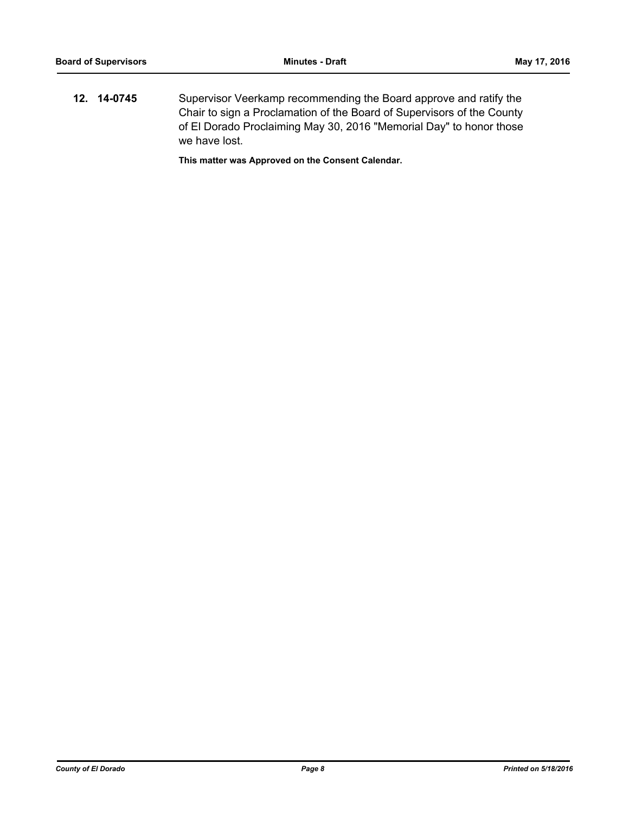**12. 14-0745** Supervisor Veerkamp recommending the Board approve and ratify the Chair to sign a Proclamation of the Board of Supervisors of the County of El Dorado Proclaiming May 30, 2016 "Memorial Day" to honor those we have lost.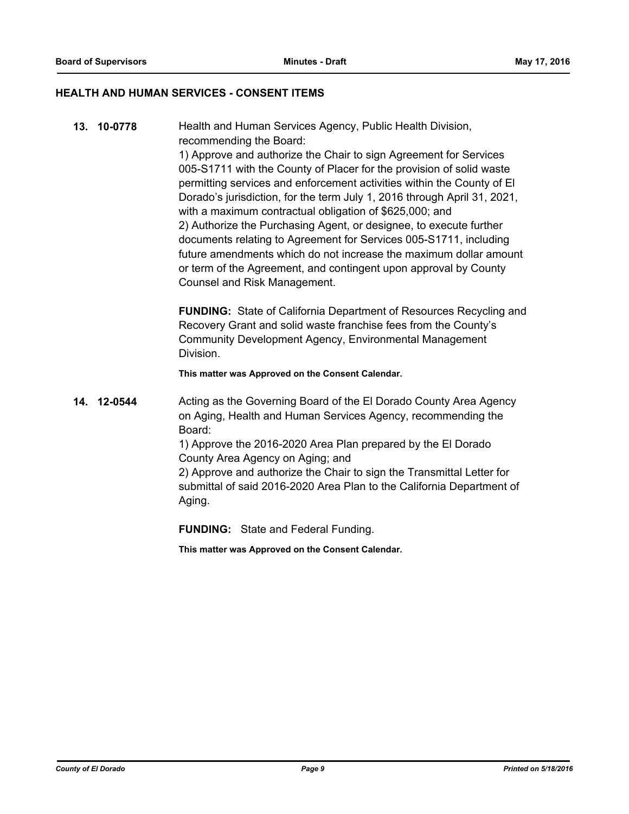#### **HEALTH AND HUMAN SERVICES - CONSENT ITEMS**

**13. 10-0778** Health and Human Services Agency, Public Health Division, recommending the Board: 1) Approve and authorize the Chair to sign Agreement for Services 005-S1711 with the County of Placer for the provision of solid waste permitting services and enforcement activities within the County of El Dorado's jurisdiction, for the term July 1, 2016 through April 31, 2021, with a maximum contractual obligation of \$625,000; and 2) Authorize the Purchasing Agent, or designee, to execute further documents relating to Agreement for Services 005-S1711, including future amendments which do not increase the maximum dollar amount or term of the Agreement, and contingent upon approval by County Counsel and Risk Management.

> **FUNDING:** State of California Department of Resources Recycling and Recovery Grant and solid waste franchise fees from the County's Community Development Agency, Environmental Management Division.

**This matter was Approved on the Consent Calendar.**

**14. 12-0544** Acting as the Governing Board of the El Dorado County Area Agency on Aging, Health and Human Services Agency, recommending the Board: 1) Approve the 2016-2020 Area Plan prepared by the El Dorado County Area Agency on Aging; and

2) Approve and authorize the Chair to sign the Transmittal Letter for submittal of said 2016-2020 Area Plan to the California Department of Aging.

**FUNDING:** State and Federal Funding.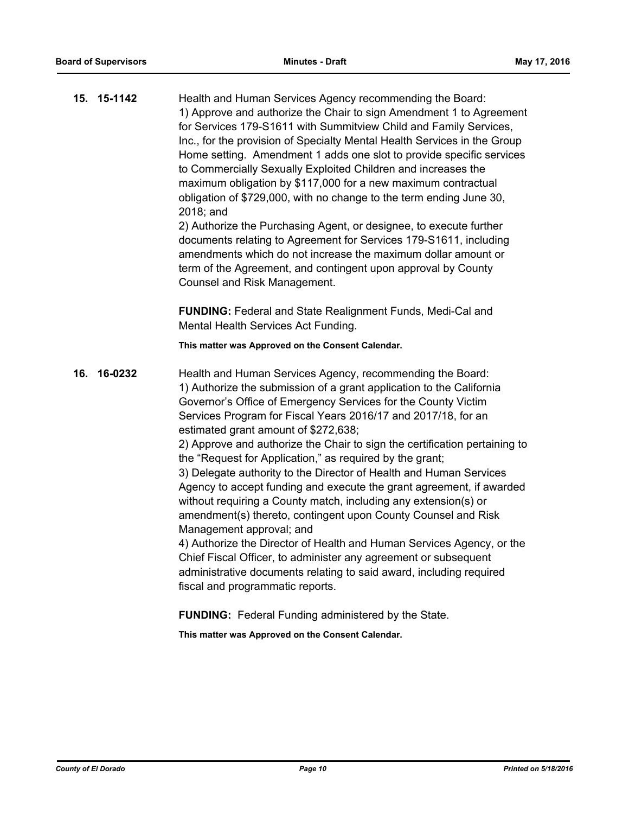|     | 15. 15-1142 | Health and Human Services Agency recommending the Board:<br>1) Approve and authorize the Chair to sign Amendment 1 to Agreement<br>for Services 179-S1611 with Summitview Child and Family Services,<br>Inc., for the provision of Specialty Mental Health Services in the Group<br>Home setting. Amendment 1 adds one slot to provide specific services<br>to Commercially Sexually Exploited Children and increases the<br>maximum obligation by \$117,000 for a new maximum contractual<br>obligation of \$729,000, with no change to the term ending June 30,<br>2018; and<br>2) Authorize the Purchasing Agent, or designee, to execute further<br>documents relating to Agreement for Services 179-S1611, including<br>amendments which do not increase the maximum dollar amount or<br>term of the Agreement, and contingent upon approval by County<br>Counsel and Risk Management.                                                                                                                                |
|-----|-------------|----------------------------------------------------------------------------------------------------------------------------------------------------------------------------------------------------------------------------------------------------------------------------------------------------------------------------------------------------------------------------------------------------------------------------------------------------------------------------------------------------------------------------------------------------------------------------------------------------------------------------------------------------------------------------------------------------------------------------------------------------------------------------------------------------------------------------------------------------------------------------------------------------------------------------------------------------------------------------------------------------------------------------|
|     |             | FUNDING: Federal and State Realignment Funds, Medi-Cal and<br>Mental Health Services Act Funding.                                                                                                                                                                                                                                                                                                                                                                                                                                                                                                                                                                                                                                                                                                                                                                                                                                                                                                                          |
|     |             | This matter was Approved on the Consent Calendar.                                                                                                                                                                                                                                                                                                                                                                                                                                                                                                                                                                                                                                                                                                                                                                                                                                                                                                                                                                          |
| 16. | 16-0232     | Health and Human Services Agency, recommending the Board:<br>1) Authorize the submission of a grant application to the California<br>Governor's Office of Emergency Services for the County Victim<br>Services Program for Fiscal Years 2016/17 and 2017/18, for an<br>estimated grant amount of \$272,638;<br>2) Approve and authorize the Chair to sign the certification pertaining to<br>the "Request for Application," as required by the grant;<br>3) Delegate authority to the Director of Health and Human Services<br>Agency to accept funding and execute the grant agreement, if awarded<br>without requiring a County match, including any extension(s) or<br>amendment(s) thereto, contingent upon County Counsel and Risk<br>Management approval; and<br>4) Authorize the Director of Health and Human Services Agency, or the<br>Chief Fiscal Officer, to administer any agreement or subsequent<br>administrative documents relating to said award, including required<br>fiscal and programmatic reports. |

**FUNDING:** Federal Funding administered by the State.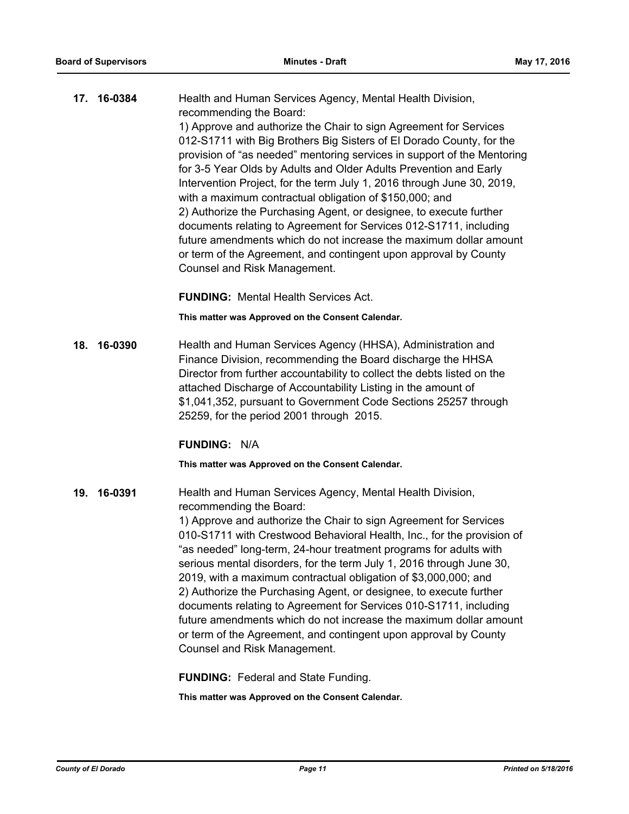| 17. 16-0384 | Health and Human Services Agency, Mental Health Division,                                                                                                                                                                                                                                                                                                                                                                                                                                                                                                                                                                                                                                                                                                                     |
|-------------|-------------------------------------------------------------------------------------------------------------------------------------------------------------------------------------------------------------------------------------------------------------------------------------------------------------------------------------------------------------------------------------------------------------------------------------------------------------------------------------------------------------------------------------------------------------------------------------------------------------------------------------------------------------------------------------------------------------------------------------------------------------------------------|
|             | recommending the Board:<br>1) Approve and authorize the Chair to sign Agreement for Services<br>012-S1711 with Big Brothers Big Sisters of El Dorado County, for the<br>provision of "as needed" mentoring services in support of the Mentoring<br>for 3-5 Year Olds by Adults and Older Adults Prevention and Early<br>Intervention Project, for the term July 1, 2016 through June 30, 2019,<br>with a maximum contractual obligation of \$150,000; and<br>2) Authorize the Purchasing Agent, or designee, to execute further<br>documents relating to Agreement for Services 012-S1711, including<br>future amendments which do not increase the maximum dollar amount<br>or term of the Agreement, and contingent upon approval by County<br>Counsel and Risk Management. |
|             |                                                                                                                                                                                                                                                                                                                                                                                                                                                                                                                                                                                                                                                                                                                                                                               |

**FUNDING:** Mental Health Services Act.

**This matter was Approved on the Consent Calendar.**

**18. 16-0390** Health and Human Services Agency (HHSA), Administration and Finance Division, recommending the Board discharge the HHSA Director from further accountability to collect the debts listed on the attached Discharge of Accountability Listing in the amount of \$1,041,352, pursuant to Government Code Sections 25257 through 25259, for the period 2001 through 2015.

#### **FUNDING:** N/A

**This matter was Approved on the Consent Calendar.**

**19. 16-0391** Health and Human Services Agency, Mental Health Division, recommending the Board:

> 1) Approve and authorize the Chair to sign Agreement for Services 010-S1711 with Crestwood Behavioral Health, Inc., for the provision of "as needed" long-term, 24-hour treatment programs for adults with serious mental disorders, for the term July 1, 2016 through June 30, 2019, with a maximum contractual obligation of \$3,000,000; and 2) Authorize the Purchasing Agent, or designee, to execute further documents relating to Agreement for Services 010-S1711, including future amendments which do not increase the maximum dollar amount or term of the Agreement, and contingent upon approval by County Counsel and Risk Management.

**FUNDING:** Federal and State Funding.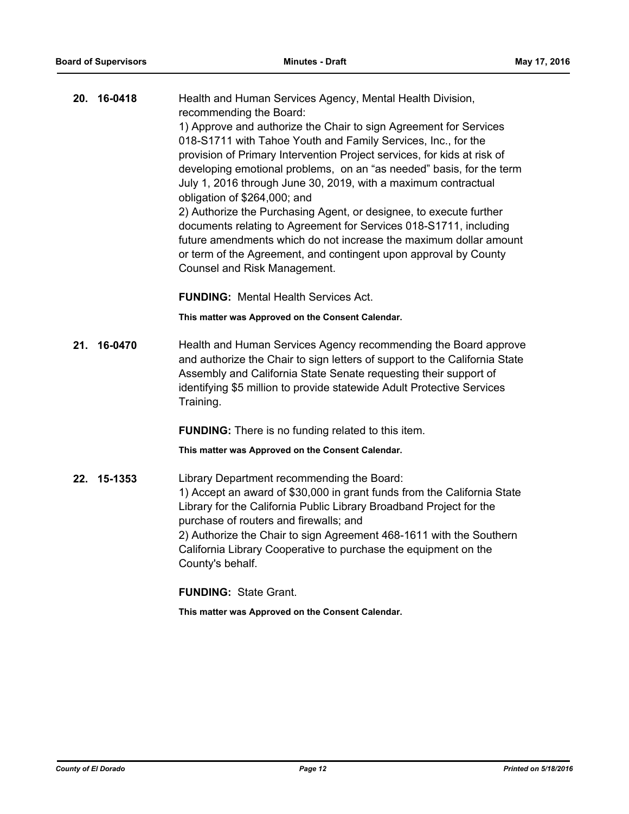| 20. | 16-0418 | Health and Human Services Agency, Mental Health Division,<br>recommending the Board:<br>1) Approve and authorize the Chair to sign Agreement for Services<br>018-S1711 with Tahoe Youth and Family Services, Inc., for the<br>provision of Primary Intervention Project services, for kids at risk of<br>developing emotional problems, on an "as needed" basis, for the term<br>July 1, 2016 through June 30, 2019, with a maximum contractual<br>obligation of \$264,000; and<br>2) Authorize the Purchasing Agent, or designee, to execute further<br>documents relating to Agreement for Services 018-S1711, including |  |
|-----|---------|----------------------------------------------------------------------------------------------------------------------------------------------------------------------------------------------------------------------------------------------------------------------------------------------------------------------------------------------------------------------------------------------------------------------------------------------------------------------------------------------------------------------------------------------------------------------------------------------------------------------------|--|
|     |         | future amendments which do not increase the maximum dollar amount<br>or term of the Agreement, and contingent upon approval by County<br>Counsel and Risk Management.                                                                                                                                                                                                                                                                                                                                                                                                                                                      |  |
|     |         | <b>FUNDING: Mental Health Services Act.</b>                                                                                                                                                                                                                                                                                                                                                                                                                                                                                                                                                                                |  |
|     |         | This matter was Approved on the Consent Calendar.                                                                                                                                                                                                                                                                                                                                                                                                                                                                                                                                                                          |  |
| 21. | 16-0470 | Health and Human Services Agency recommending the Board approve<br>and authorize the Chair to sign letters of support to the California State<br>Assembly and California State Senate requesting their support of<br>identifying \$5 million to provide statewide Adult Protective Services<br>Training.                                                                                                                                                                                                                                                                                                                   |  |
|     |         | <b>FUNDING:</b> There is no funding related to this item.                                                                                                                                                                                                                                                                                                                                                                                                                                                                                                                                                                  |  |
|     |         | This matter was Approved on the Consent Calendar.                                                                                                                                                                                                                                                                                                                                                                                                                                                                                                                                                                          |  |
| 22. | 15-1353 | Library Department recommending the Board:<br>1) Accept an award of \$30,000 in grant funds from the California State<br>Library for the California Public Library Broadband Project for the<br>purchase of routers and firewalls; and<br>2) Authorize the Chair to sign Agreement 468-1611 with the Southern<br>California Library Cooperative to purchase the equipment on the<br>County's behalf.                                                                                                                                                                                                                       |  |
|     |         | <b>FUNDING: State Grant.</b>                                                                                                                                                                                                                                                                                                                                                                                                                                                                                                                                                                                               |  |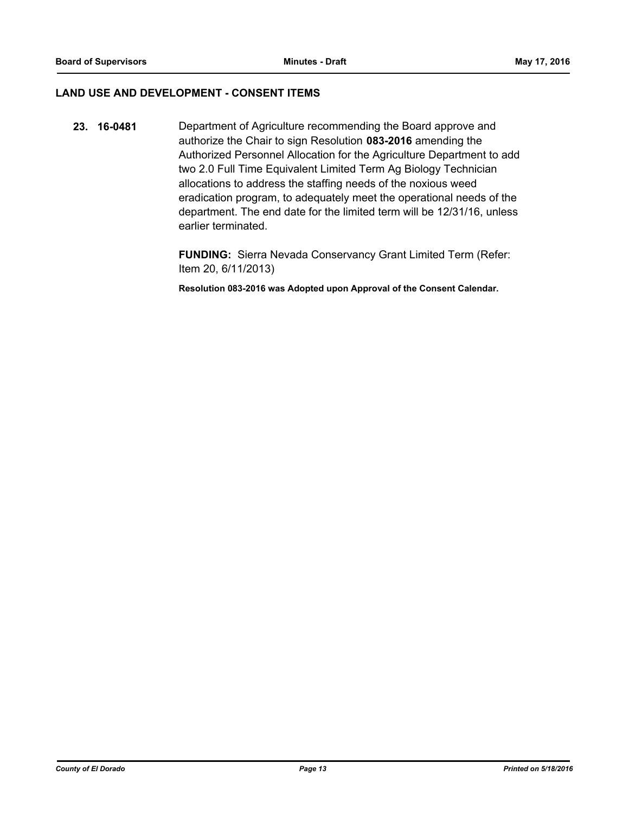### **LAND USE AND DEVELOPMENT - CONSENT ITEMS**

**23. 16-0481** Department of Agriculture recommending the Board approve and authorize the Chair to sign Resolution **083-2016** amending the Authorized Personnel Allocation for the Agriculture Department to add two 2.0 Full Time Equivalent Limited Term Ag Biology Technician allocations to address the staffing needs of the noxious weed eradication program, to adequately meet the operational needs of the department. The end date for the limited term will be 12/31/16, unless earlier terminated.

> **FUNDING:** Sierra Nevada Conservancy Grant Limited Term (Refer: Item 20, 6/11/2013)

**Resolution 083-2016 was Adopted upon Approval of the Consent Calendar.**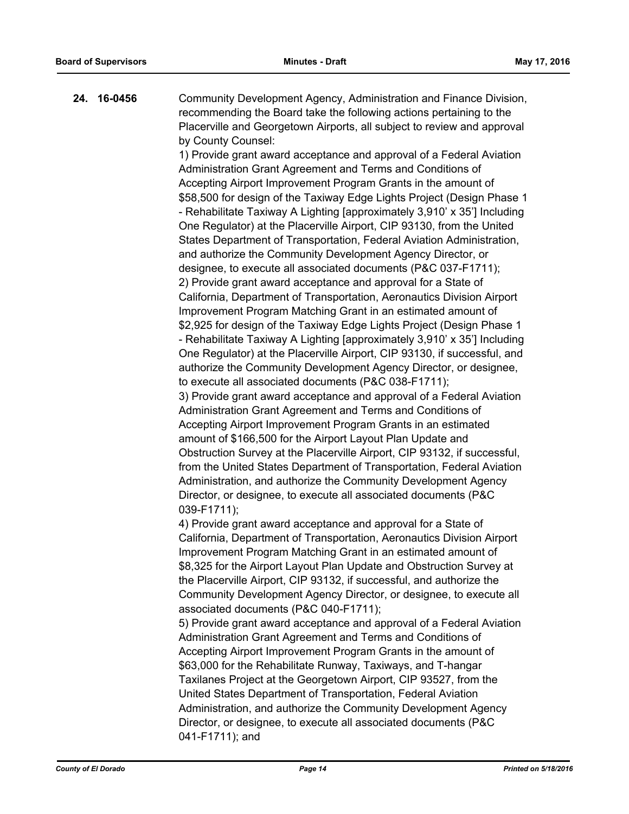**24. 16-0456** Community Development Agency, Administration and Finance Division, recommending the Board take the following actions pertaining to the Placerville and Georgetown Airports, all subject to review and approval by County Counsel:

> 1) Provide grant award acceptance and approval of a Federal Aviation Administration Grant Agreement and Terms and Conditions of Accepting Airport Improvement Program Grants in the amount of \$58,500 for design of the Taxiway Edge Lights Project (Design Phase 1 - Rehabilitate Taxiway A Lighting [approximately 3,910' x 35'] Including One Regulator) at the Placerville Airport, CIP 93130, from the United States Department of Transportation, Federal Aviation Administration, and authorize the Community Development Agency Director, or designee, to execute all associated documents (P&C 037-F1711); 2) Provide grant award acceptance and approval for a State of California, Department of Transportation, Aeronautics Division Airport Improvement Program Matching Grant in an estimated amount of \$2,925 for design of the Taxiway Edge Lights Project (Design Phase 1 - Rehabilitate Taxiway A Lighting [approximately 3,910' x 35'] Including One Regulator) at the Placerville Airport, CIP 93130, if successful, and authorize the Community Development Agency Director, or designee, to execute all associated documents (P&C 038-F1711);

3) Provide grant award acceptance and approval of a Federal Aviation Administration Grant Agreement and Terms and Conditions of Accepting Airport Improvement Program Grants in an estimated amount of \$166,500 for the Airport Layout Plan Update and Obstruction Survey at the Placerville Airport, CIP 93132, if successful, from the United States Department of Transportation, Federal Aviation Administration, and authorize the Community Development Agency Director, or designee, to execute all associated documents (P&C 039-F1711);

4) Provide grant award acceptance and approval for a State of California, Department of Transportation, Aeronautics Division Airport Improvement Program Matching Grant in an estimated amount of \$8,325 for the Airport Layout Plan Update and Obstruction Survey at the Placerville Airport, CIP 93132, if successful, and authorize the Community Development Agency Director, or designee, to execute all associated documents (P&C 040-F1711);

5) Provide grant award acceptance and approval of a Federal Aviation Administration Grant Agreement and Terms and Conditions of Accepting Airport Improvement Program Grants in the amount of \$63,000 for the Rehabilitate Runway, Taxiways, and T-hangar Taxilanes Project at the Georgetown Airport, CIP 93527, from the United States Department of Transportation, Federal Aviation Administration, and authorize the Community Development Agency Director, or designee, to execute all associated documents (P&C 041-F1711); and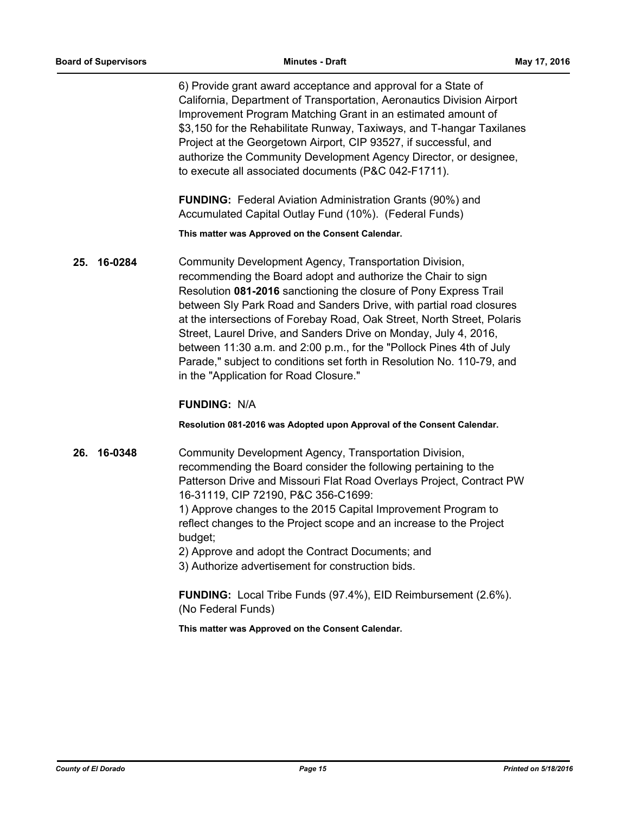6) Provide grant award acceptance and approval for a State of California, Department of Transportation, Aeronautics Division Airport Improvement Program Matching Grant in an estimated amount of \$3,150 for the Rehabilitate Runway, Taxiways, and T-hangar Taxilanes Project at the Georgetown Airport, CIP 93527, if successful, and authorize the Community Development Agency Director, or designee, to execute all associated documents (P&C 042-F1711).

**FUNDING:** Federal Aviation Administration Grants (90%) and Accumulated Capital Outlay Fund (10%). (Federal Funds)

**This matter was Approved on the Consent Calendar.**

**25. 16-0284** Community Development Agency, Transportation Division, recommending the Board adopt and authorize the Chair to sign Resolution **081-2016** sanctioning the closure of Pony Express Trail between Sly Park Road and Sanders Drive, with partial road closures at the intersections of Forebay Road, Oak Street, North Street, Polaris Street, Laurel Drive, and Sanders Drive on Monday, July 4, 2016, between 11:30 a.m. and 2:00 p.m., for the "Pollock Pines 4th of July Parade," subject to conditions set forth in Resolution No. 110-79, and in the "Application for Road Closure."

## **FUNDING:** N/A

#### **Resolution 081-2016 was Adopted upon Approval of the Consent Calendar.**

**26. 16-0348** Community Development Agency, Transportation Division, recommending the Board consider the following pertaining to the Patterson Drive and Missouri Flat Road Overlays Project, Contract PW 16-31119, CIP 72190, P&C 356-C1699:

> 1) Approve changes to the 2015 Capital Improvement Program to reflect changes to the Project scope and an increase to the Project budget;

2) Approve and adopt the Contract Documents; and

3) Authorize advertisement for construction bids.

**FUNDING:** Local Tribe Funds (97.4%), EID Reimbursement (2.6%). (No Federal Funds)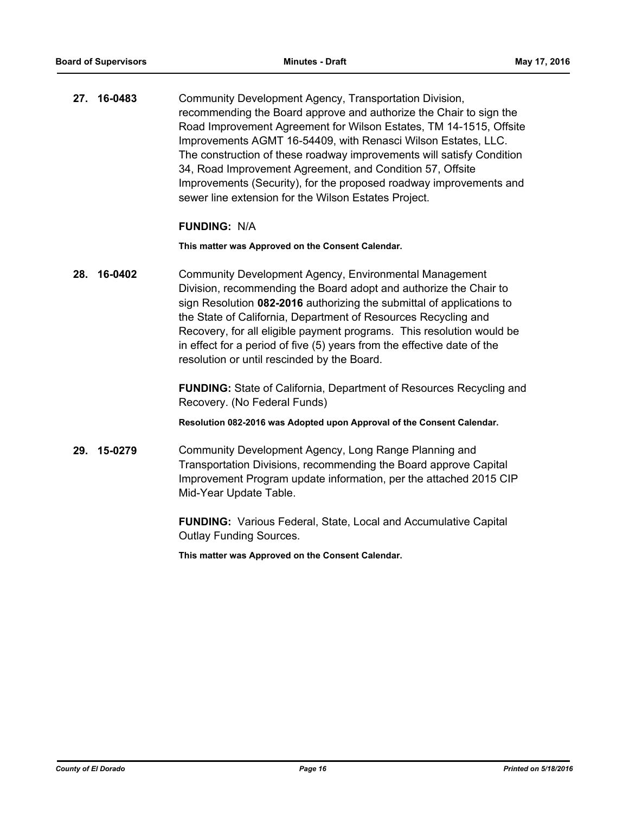**27. 16-0483** Community Development Agency, Transportation Division, recommending the Board approve and authorize the Chair to sign the Road Improvement Agreement for Wilson Estates, TM 14-1515, Offsite Improvements AGMT 16-54409, with Renasci Wilson Estates, LLC. The construction of these roadway improvements will satisfy Condition 34, Road Improvement Agreement, and Condition 57, Offsite Improvements (Security), for the proposed roadway improvements and sewer line extension for the Wilson Estates Project.

#### **FUNDING:** N/A

**This matter was Approved on the Consent Calendar.**

**28. 16-0402** Community Development Agency, Environmental Management Division, recommending the Board adopt and authorize the Chair to sign Resolution **082-2016** authorizing the submittal of applications to the State of California, Department of Resources Recycling and Recovery, for all eligible payment programs. This resolution would be in effect for a period of five (5) years from the effective date of the resolution or until rescinded by the Board.

> **FUNDING:** State of California, Department of Resources Recycling and Recovery. (No Federal Funds)

**Resolution 082-2016 was Adopted upon Approval of the Consent Calendar.**

**29. 15-0279** Community Development Agency, Long Range Planning and Transportation Divisions, recommending the Board approve Capital Improvement Program update information, per the attached 2015 CIP Mid-Year Update Table.

> **FUNDING:** Various Federal, State, Local and Accumulative Capital Outlay Funding Sources.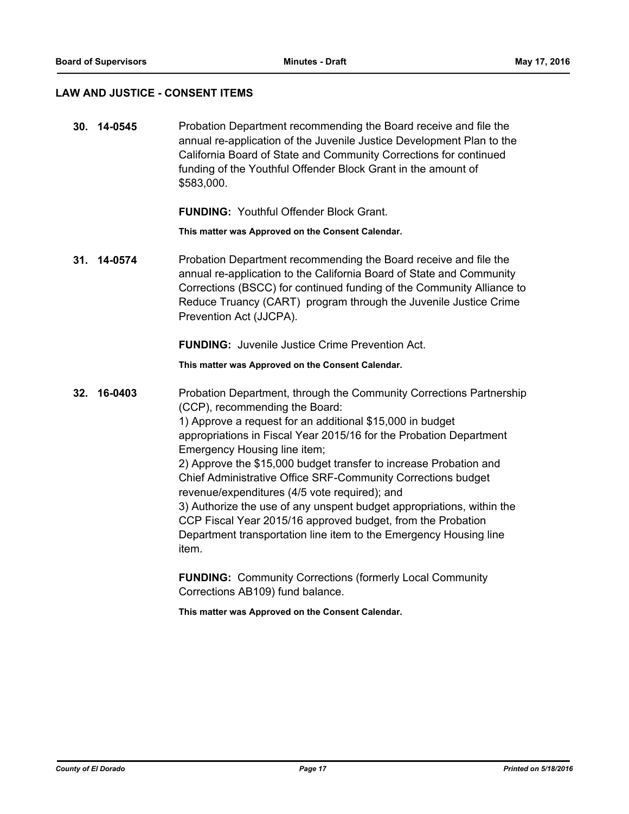#### **LAW AND JUSTICE - CONSENT ITEMS**

**30. 14-0545** Probation Department recommending the Board receive and file the annual re-application of the Juvenile Justice Development Plan to the California Board of State and Community Corrections for continued funding of the Youthful Offender Block Grant in the amount of \$583,000.

**FUNDING:** Youthful Offender Block Grant.

**This matter was Approved on the Consent Calendar.**

**31. 14-0574** Probation Department recommending the Board receive and file the annual re-application to the California Board of State and Community Corrections (BSCC) for continued funding of the Community Alliance to Reduce Truancy (CART) program through the Juvenile Justice Crime Prevention Act (JJCPA).

**FUNDING:** Juvenile Justice Crime Prevention Act.

**This matter was Approved on the Consent Calendar.**

**32. 16-0403** Probation Department, through the Community Corrections Partnership (CCP), recommending the Board: 1) Approve a request for an additional \$15,000 in budget appropriations in Fiscal Year 2015/16 for the Probation Department Emergency Housing line item; 2) Approve the \$15,000 budget transfer to increase Probation and Chief Administrative Office SRF-Community Corrections budget revenue/expenditures (4/5 vote required); and 3) Authorize the use of any unspent budget appropriations, within the CCP Fiscal Year 2015/16 approved budget, from the Probation Department transportation line item to the Emergency Housing line item.

> **FUNDING:** Community Corrections (formerly Local Community Corrections AB109) fund balance.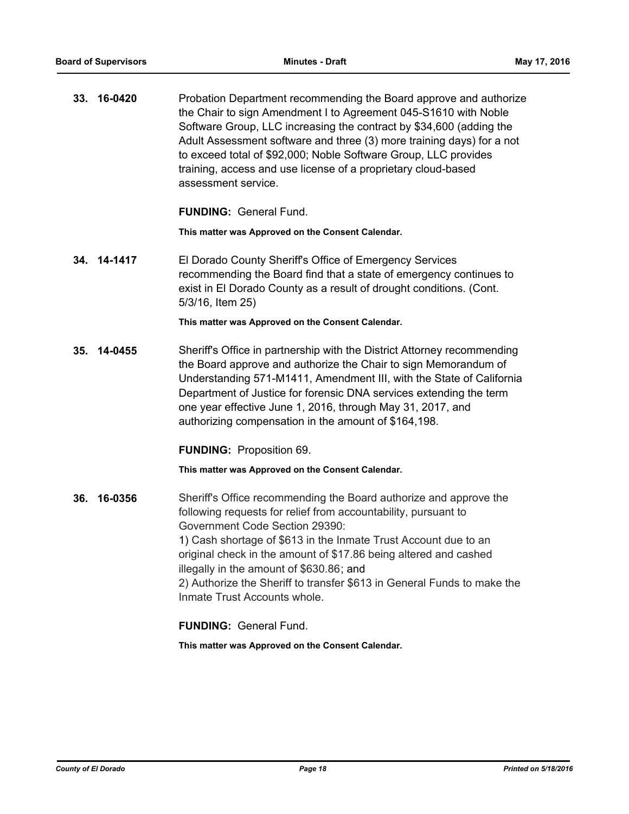**33. 16-0420** Probation Department recommending the Board approve and authorize the Chair to sign Amendment I to Agreement 045-S1610 with Noble Software Group, LLC increasing the contract by \$34,600 (adding the Adult Assessment software and three (3) more training days) for a not to exceed total of \$92,000; Noble Software Group, LLC provides training, access and use license of a proprietary cloud-based assessment service.

**FUNDING:** General Fund.

**This matter was Approved on the Consent Calendar.**

**34. 14-1417** El Dorado County Sheriff's Office of Emergency Services recommending the Board find that a state of emergency continues to exist in El Dorado County as a result of drought conditions. (Cont. 5/3/16, Item 25)

**This matter was Approved on the Consent Calendar.**

**35. 14-0455** Sheriff's Office in partnership with the District Attorney recommending the Board approve and authorize the Chair to sign Memorandum of Understanding 571-M1411, Amendment III, with the State of California Department of Justice for forensic DNA services extending the term one year effective June 1, 2016, through May 31, 2017, and authorizing compensation in the amount of \$164,198.

**FUNDING:** Proposition 69.

**This matter was Approved on the Consent Calendar.**

**36. 16-0356** Sheriff's Office recommending the Board authorize and approve the following requests for relief from accountability, pursuant to Government Code Section 29390: 1) Cash shortage of \$613 in the Inmate Trust Account due to an original check in the amount of \$17.86 being altered and cashed illegally in the amount of \$630.86; and 2) Authorize the Sheriff to transfer \$613 in General Funds to make the Inmate Trust Accounts whole.

**FUNDING:** General Fund.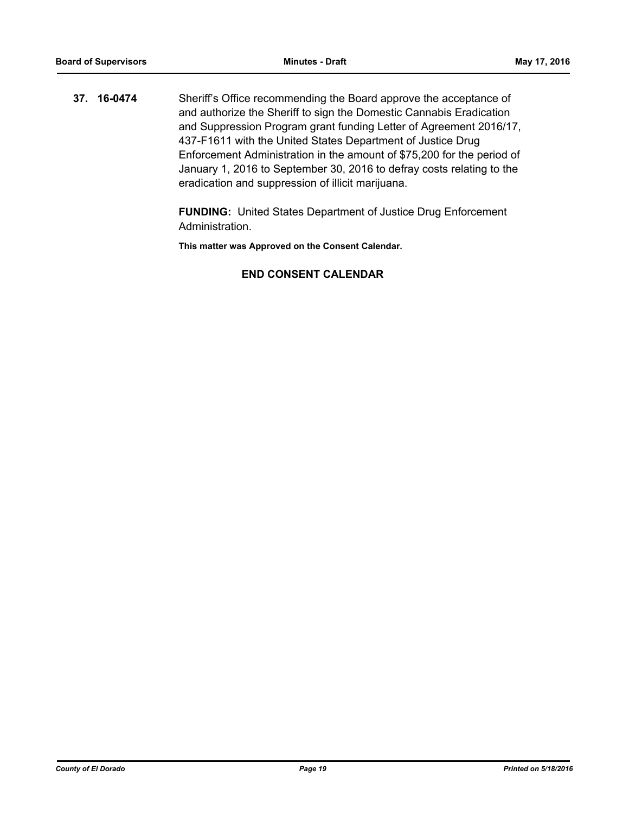**37. 16-0474** Sheriff's Office recommending the Board approve the acceptance of and authorize the Sheriff to sign the Domestic Cannabis Eradication and Suppression Program grant funding Letter of Agreement 2016/17, 437-F1611 with the United States Department of Justice Drug Enforcement Administration in the amount of \$75,200 for the period of January 1, 2016 to September 30, 2016 to defray costs relating to the eradication and suppression of illicit marijuana.

> **FUNDING:** United States Department of Justice Drug Enforcement Administration.

**This matter was Approved on the Consent Calendar.**

## **END CONSENT CALENDAR**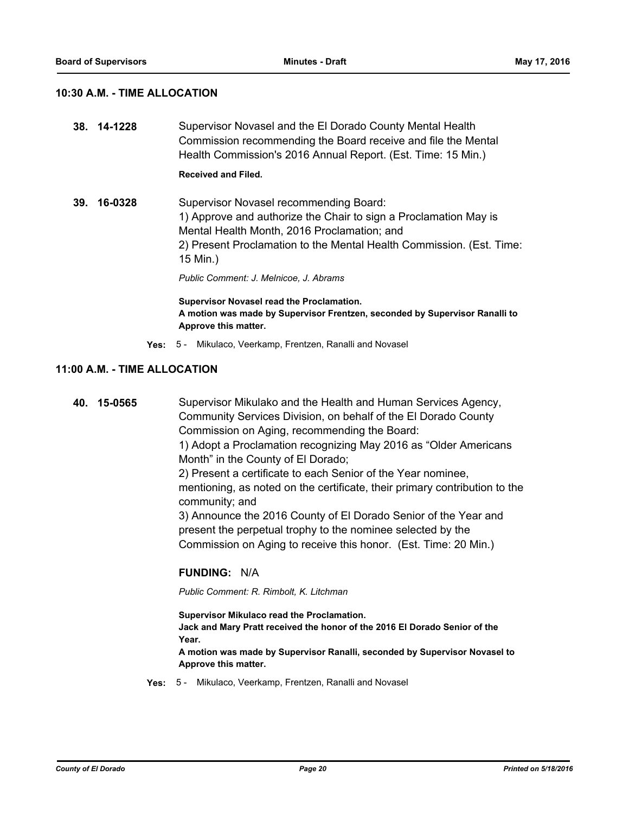#### **10:30 A.M. - TIME ALLOCATION**

**38. 14-1228** Supervisor Novasel and the El Dorado County Mental Health Commission recommending the Board receive and file the Mental Health Commission's 2016 Annual Report. (Est. Time: 15 Min.)

## **Received and Filed.**

**39. 16-0328** Supervisor Novasel recommending Board: 1) Approve and authorize the Chair to sign a Proclamation May is Mental Health Month, 2016 Proclamation; and 2) Present Proclamation to the Mental Health Commission. (Est. Time: 15 Min.)

*Public Comment: J. Melnicoe, J. Abrams*

**Supervisor Novasel read the Proclamation. A motion was made by Supervisor Frentzen, seconded by Supervisor Ranalli to Approve this matter.**

**Yes:** 5 - Mikulaco, Veerkamp, Frentzen, Ranalli and Novasel

## **11:00 A.M. - TIME ALLOCATION**

**40. 15-0565** Supervisor Mikulako and the Health and Human Services Agency, Community Services Division, on behalf of the El Dorado County Commission on Aging, recommending the Board: 1) Adopt a Proclamation recognizing May 2016 as "Older Americans Month" in the County of El Dorado; 2) Present a certificate to each Senior of the Year nominee, mentioning, as noted on the certificate, their primary contribution to the community; and 3) Announce the 2016 County of El Dorado Senior of the Year and present the perpetual trophy to the nominee selected by the Commission on Aging to receive this honor. (Est. Time: 20 Min.)

## **FUNDING:** N/A

*Public Comment: R. Rimbolt, K. Litchman*

**Supervisor Mikulaco read the Proclamation. Jack and Mary Pratt received the honor of the 2016 El Dorado Senior of the Year. A motion was made by Supervisor Ranalli, seconded by Supervisor Novasel to** 

**Approve this matter.**

**Yes:** 5 - Mikulaco, Veerkamp, Frentzen, Ranalli and Novasel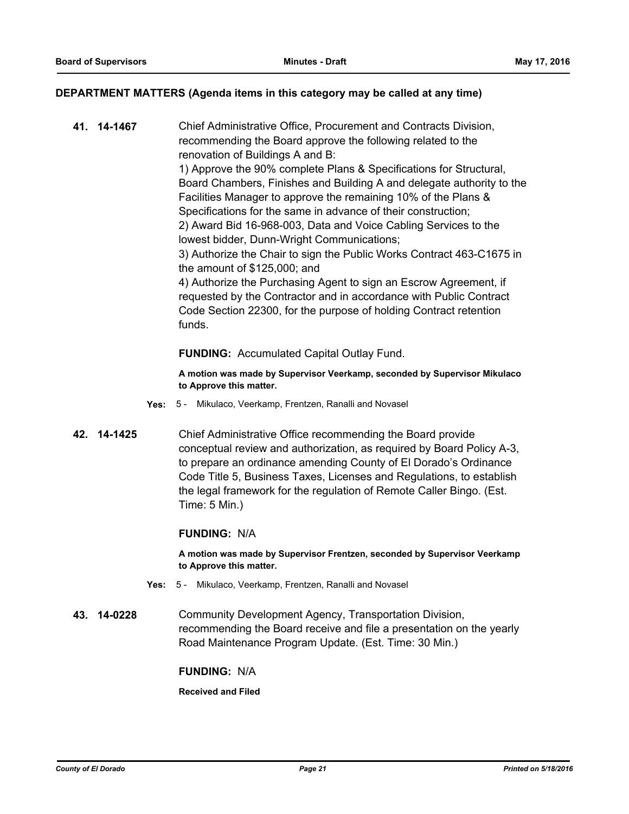#### **DEPARTMENT MATTERS (Agenda items in this category may be called at any time)**

**41. 14-1467** Chief Administrative Office, Procurement and Contracts Division, recommending the Board approve the following related to the renovation of Buildings A and B: 1) Approve the 90% complete Plans & Specifications for Structural, Board Chambers, Finishes and Building A and delegate authority to the Facilities Manager to approve the remaining 10% of the Plans & Specifications for the same in advance of their construction; 2) Award Bid 16-968-003, Data and Voice Cabling Services to the lowest bidder, Dunn-Wright Communications; 3) Authorize the Chair to sign the Public Works Contract 463-C1675 in the amount of \$125,000; and 4) Authorize the Purchasing Agent to sign an Escrow Agreement, if requested by the Contractor and in accordance with Public Contract Code Section 22300, for the purpose of holding Contract retention funds.

#### **FUNDING:** Accumulated Capital Outlay Fund.

**A motion was made by Supervisor Veerkamp, seconded by Supervisor Mikulaco to Approve this matter.**

- **Yes:** 5 Mikulaco, Veerkamp, Frentzen, Ranalli and Novasel
- **42. 14-1425** Chief Administrative Office recommending the Board provide conceptual review and authorization, as required by Board Policy A-3, to prepare an ordinance amending County of El Dorado's Ordinance Code Title 5, Business Taxes, Licenses and Regulations, to establish the legal framework for the regulation of Remote Caller Bingo. (Est. Time: 5 Min.)

#### **FUNDING:** N/A

**A motion was made by Supervisor Frentzen, seconded by Supervisor Veerkamp to Approve this matter.**

- **Yes:** 5 Mikulaco, Veerkamp, Frentzen, Ranalli and Novasel
- **43. 14-0228** Community Development Agency, Transportation Division, recommending the Board receive and file a presentation on the yearly Road Maintenance Program Update. (Est. Time: 30 Min.)

#### **FUNDING:** N/A

**Received and Filed**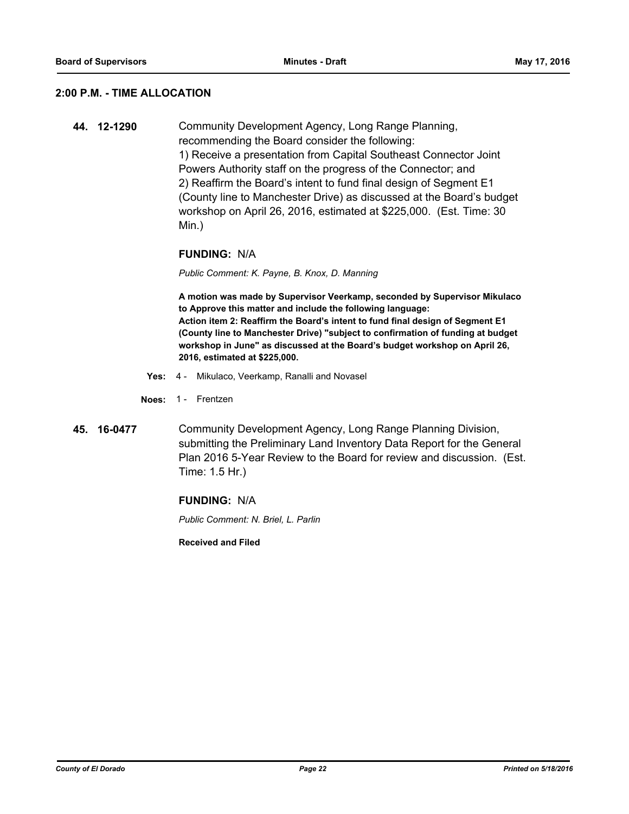#### **2:00 P.M. - TIME ALLOCATION**

**44. 12-1290** Community Development Agency, Long Range Planning, recommending the Board consider the following: 1) Receive a presentation from Capital Southeast Connector Joint Powers Authority staff on the progress of the Connector; and 2) Reaffirm the Board's intent to fund final design of Segment E1 (County line to Manchester Drive) as discussed at the Board's budget workshop on April 26, 2016, estimated at \$225,000. (Est. Time: 30 Min.)

#### **FUNDING:** N/A

*Public Comment: K. Payne, B. Knox, D. Manning*

**A motion was made by Supervisor Veerkamp, seconded by Supervisor Mikulaco to Approve this matter and include the following language: Action item 2: Reaffirm the Board's intent to fund final design of Segment E1 (County line to Manchester Drive) "subject to confirmation of funding at budget workshop in June" as discussed at the Board's budget workshop on April 26, 2016, estimated at \$225,000.**

- **Yes:** 4 Mikulaco, Veerkamp, Ranalli and Novasel
- **Noes:** 1 Frentzen
- **45. 16-0477** Community Development Agency, Long Range Planning Division, submitting the Preliminary Land Inventory Data Report for the General Plan 2016 5-Year Review to the Board for review and discussion. (Est. Time: 1.5 Hr.)

#### **FUNDING:** N/A

*Public Comment: N. Briel, L. Parlin*

**Received and Filed**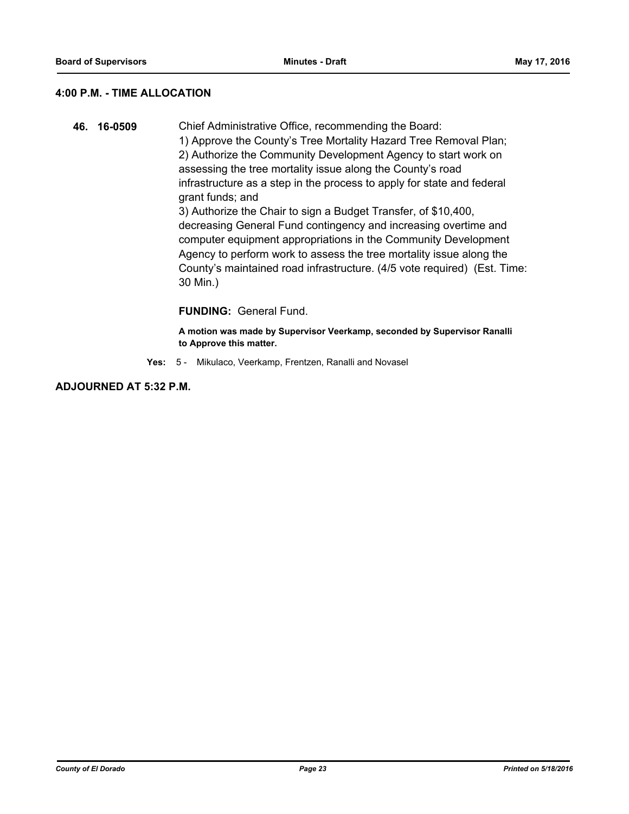### **4:00 P.M. - TIME ALLOCATION**

**46. 16-0509** Chief Administrative Office, recommending the Board: 1) Approve the County's Tree Mortality Hazard Tree Removal Plan; 2) Authorize the Community Development Agency to start work on assessing the tree mortality issue along the County's road infrastructure as a step in the process to apply for state and federal grant funds; and 3) Authorize the Chair to sign a Budget Transfer, of \$10,400, decreasing General Fund contingency and increasing overtime and computer equipment appropriations in the Community Development Agency to perform work to assess the tree mortality issue along the County's maintained road infrastructure. (4/5 vote required) (Est. Time: 30 Min.)

## **FUNDING:** General Fund.

**A motion was made by Supervisor Veerkamp, seconded by Supervisor Ranalli to Approve this matter.**

**Yes:** 5 - Mikulaco, Veerkamp, Frentzen, Ranalli and Novasel

**ADJOURNED AT 5:32 P.M.**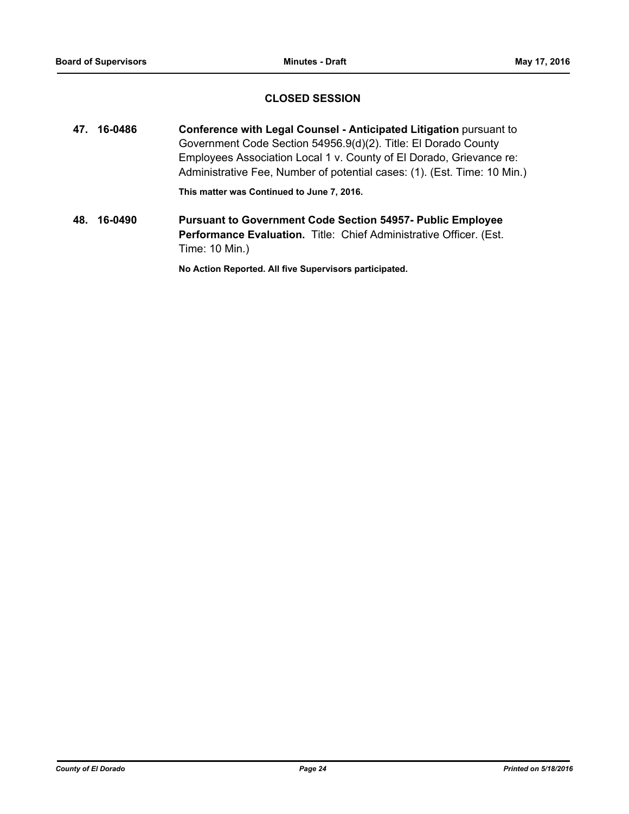## **CLOSED SESSION**

**47. 16-0486 Conference with Legal Counsel - Anticipated Litigation** pursuant to Government Code Section 54956.9(d)(2). Title: El Dorado County Employees Association Local 1 v. County of El Dorado, Grievance re: Administrative Fee, Number of potential cases: (1). (Est. Time: 10 Min.)

**This matter was Continued to June 7, 2016.**

**48. 16-0490 Pursuant to Government Code Section 54957- Public Employee Performance Evaluation.** Title: Chief Administrative Officer. (Est. Time: 10 Min.)

**No Action Reported. All five Supervisors participated.**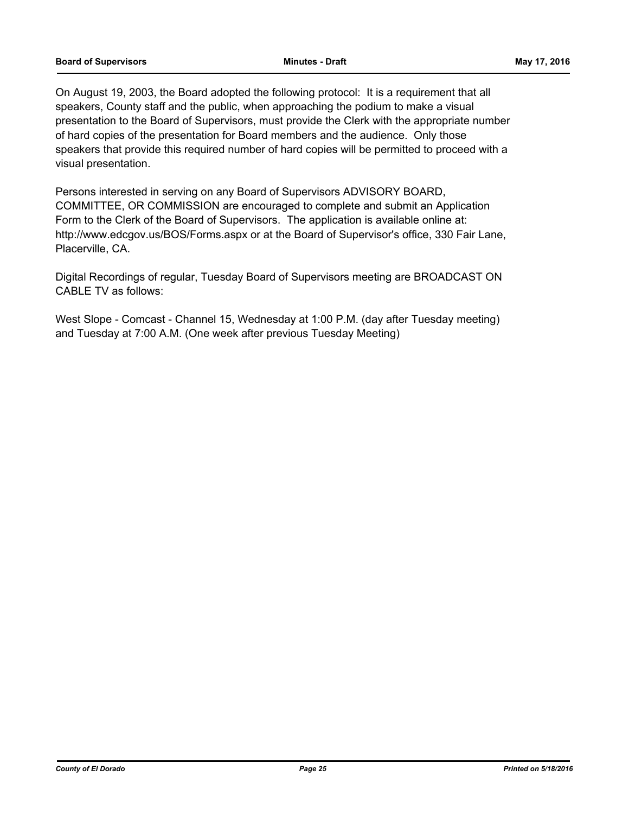On August 19, 2003, the Board adopted the following protocol: It is a requirement that all speakers, County staff and the public, when approaching the podium to make a visual presentation to the Board of Supervisors, must provide the Clerk with the appropriate number of hard copies of the presentation for Board members and the audience. Only those speakers that provide this required number of hard copies will be permitted to proceed with a visual presentation.

Persons interested in serving on any Board of Supervisors ADVISORY BOARD, COMMITTEE, OR COMMISSION are encouraged to complete and submit an Application Form to the Clerk of the Board of Supervisors. The application is available online at: http://www.edcgov.us/BOS/Forms.aspx or at the Board of Supervisor's office, 330 Fair Lane, Placerville, CA.

Digital Recordings of regular, Tuesday Board of Supervisors meeting are BROADCAST ON CABLE TV as follows:

West Slope - Comcast - Channel 15, Wednesday at 1:00 P.M. (day after Tuesday meeting) and Tuesday at 7:00 A.M. (One week after previous Tuesday Meeting)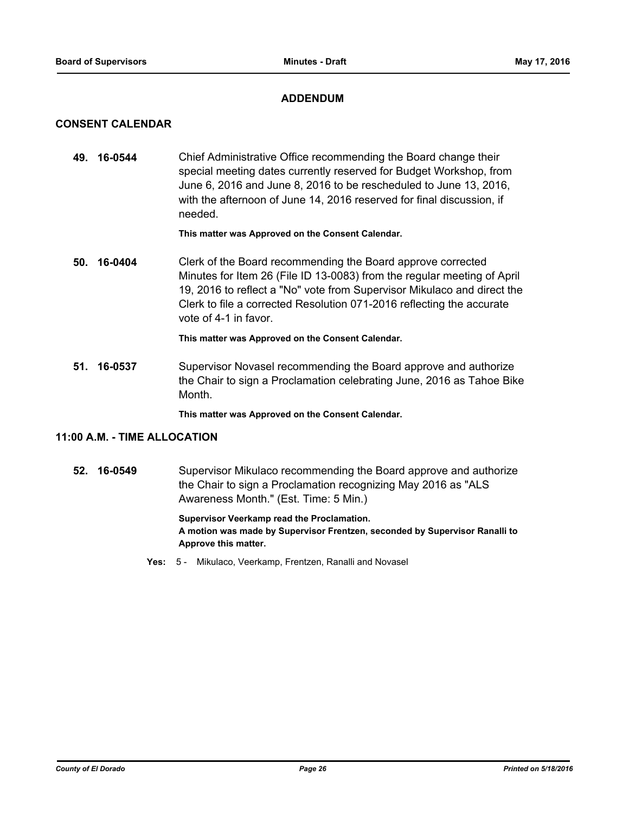## **ADDENDUM**

## **CONSENT CALENDAR**

**49. 16-0544** Chief Administrative Office recommending the Board change their special meeting dates currently reserved for Budget Workshop, from June 6, 2016 and June 8, 2016 to be rescheduled to June 13, 2016, with the afternoon of June 14, 2016 reserved for final discussion, if needed.

#### **This matter was Approved on the Consent Calendar.**

**50. 16-0404** Clerk of the Board recommending the Board approve corrected Minutes for Item 26 (File ID 13-0083) from the regular meeting of April 19, 2016 to reflect a "No" vote from Supervisor Mikulaco and direct the Clerk to file a corrected Resolution 071-2016 reflecting the accurate vote of 4-1 in favor.

**This matter was Approved on the Consent Calendar.**

**51. 16-0537** Supervisor Novasel recommending the Board approve and authorize the Chair to sign a Proclamation celebrating June, 2016 as Tahoe Bike Month.

**This matter was Approved on the Consent Calendar.**

## **11:00 A.M. - TIME ALLOCATION**

**52. 16-0549** Supervisor Mikulaco recommending the Board approve and authorize the Chair to sign a Proclamation recognizing May 2016 as "ALS Awareness Month." (Est. Time: 5 Min.)

> **Supervisor Veerkamp read the Proclamation. A motion was made by Supervisor Frentzen, seconded by Supervisor Ranalli to Approve this matter.**

**Yes:** 5 - Mikulaco, Veerkamp, Frentzen, Ranalli and Novasel